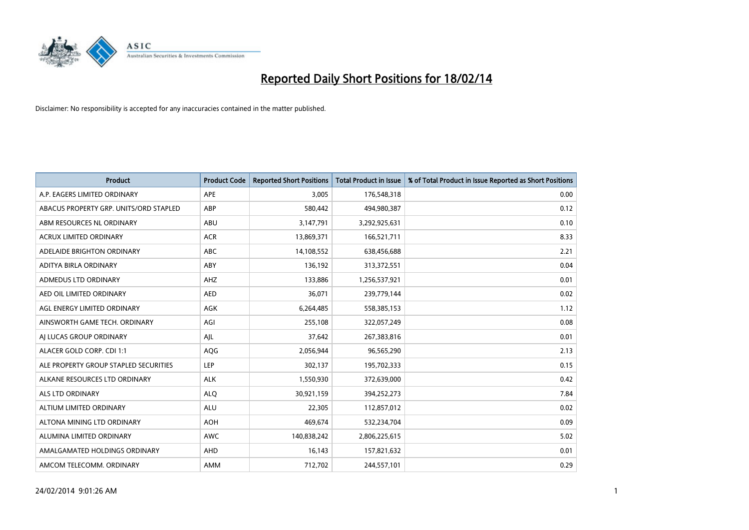

| <b>Product</b>                         | <b>Product Code</b> | <b>Reported Short Positions</b> | <b>Total Product in Issue</b> | % of Total Product in Issue Reported as Short Positions |
|----------------------------------------|---------------------|---------------------------------|-------------------------------|---------------------------------------------------------|
| A.P. EAGERS LIMITED ORDINARY           | APE                 | 3,005                           | 176,548,318                   | 0.00                                                    |
| ABACUS PROPERTY GRP. UNITS/ORD STAPLED | ABP                 | 580,442                         | 494,980,387                   | 0.12                                                    |
| ABM RESOURCES NL ORDINARY              | ABU                 | 3,147,791                       | 3,292,925,631                 | 0.10                                                    |
| <b>ACRUX LIMITED ORDINARY</b>          | <b>ACR</b>          | 13,869,371                      | 166,521,711                   | 8.33                                                    |
| ADELAIDE BRIGHTON ORDINARY             | <b>ABC</b>          | 14,108,552                      | 638,456,688                   | 2.21                                                    |
| ADITYA BIRLA ORDINARY                  | ABY                 | 136,192                         | 313,372,551                   | 0.04                                                    |
| ADMEDUS LTD ORDINARY                   | AHZ                 | 133,886                         | 1,256,537,921                 | 0.01                                                    |
| AED OIL LIMITED ORDINARY               | <b>AED</b>          | 36,071                          | 239,779,144                   | 0.02                                                    |
| AGL ENERGY LIMITED ORDINARY            | <b>AGK</b>          | 6,264,485                       | 558,385,153                   | 1.12                                                    |
| AINSWORTH GAME TECH. ORDINARY          | AGI                 | 255,108                         | 322,057,249                   | 0.08                                                    |
| AJ LUCAS GROUP ORDINARY                | AJL                 | 37,642                          | 267,383,816                   | 0.01                                                    |
| ALACER GOLD CORP. CDI 1:1              | AQG                 | 2,056,944                       | 96,565,290                    | 2.13                                                    |
| ALE PROPERTY GROUP STAPLED SECURITIES  | <b>LEP</b>          | 302,137                         | 195,702,333                   | 0.15                                                    |
| ALKANE RESOURCES LTD ORDINARY          | <b>ALK</b>          | 1,550,930                       | 372,639,000                   | 0.42                                                    |
| ALS LTD ORDINARY                       | <b>ALQ</b>          | 30,921,159                      | 394,252,273                   | 7.84                                                    |
| ALTIUM LIMITED ORDINARY                | <b>ALU</b>          | 22,305                          | 112,857,012                   | 0.02                                                    |
| ALTONA MINING LTD ORDINARY             | <b>AOH</b>          | 469,674                         | 532,234,704                   | 0.09                                                    |
| ALUMINA LIMITED ORDINARY               | <b>AWC</b>          | 140,838,242                     | 2,806,225,615                 | 5.02                                                    |
| AMALGAMATED HOLDINGS ORDINARY          | AHD                 | 16,143                          | 157,821,632                   | 0.01                                                    |
| AMCOM TELECOMM, ORDINARY               | AMM                 | 712,702                         | 244,557,101                   | 0.29                                                    |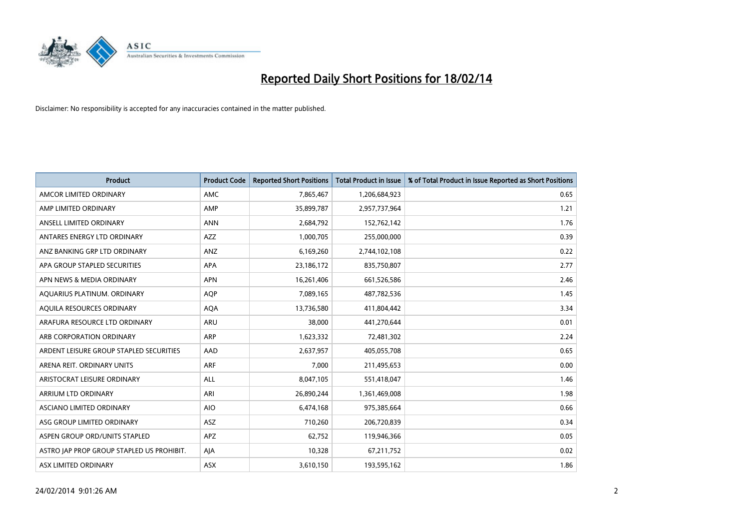

| <b>Product</b>                            | <b>Product Code</b> | <b>Reported Short Positions</b> | <b>Total Product in Issue</b> | % of Total Product in Issue Reported as Short Positions |
|-------------------------------------------|---------------------|---------------------------------|-------------------------------|---------------------------------------------------------|
| AMCOR LIMITED ORDINARY                    | AMC                 | 7,865,467                       | 1,206,684,923                 | 0.65                                                    |
| AMP LIMITED ORDINARY                      | AMP                 | 35,899,787                      | 2,957,737,964                 | 1.21                                                    |
| ANSELL LIMITED ORDINARY                   | <b>ANN</b>          | 2,684,792                       | 152,762,142                   | 1.76                                                    |
| ANTARES ENERGY LTD ORDINARY               | AZZ                 | 1,000,705                       | 255,000,000                   | 0.39                                                    |
| ANZ BANKING GRP LTD ORDINARY              | ANZ                 | 6,169,260                       | 2,744,102,108                 | 0.22                                                    |
| APA GROUP STAPLED SECURITIES              | <b>APA</b>          | 23,186,172                      | 835,750,807                   | 2.77                                                    |
| APN NEWS & MEDIA ORDINARY                 | <b>APN</b>          | 16,261,406                      | 661,526,586                   | 2.46                                                    |
| AQUARIUS PLATINUM. ORDINARY               | <b>AQP</b>          | 7,089,165                       | 487,782,536                   | 1.45                                                    |
| AQUILA RESOURCES ORDINARY                 | <b>AQA</b>          | 13,736,580                      | 411,804,442                   | 3.34                                                    |
| ARAFURA RESOURCE LTD ORDINARY             | <b>ARU</b>          | 38,000                          | 441,270,644                   | 0.01                                                    |
| ARB CORPORATION ORDINARY                  | <b>ARP</b>          | 1,623,332                       | 72,481,302                    | 2.24                                                    |
| ARDENT LEISURE GROUP STAPLED SECURITIES   | AAD                 | 2,637,957                       | 405,055,708                   | 0.65                                                    |
| ARENA REIT. ORDINARY UNITS                | <b>ARF</b>          | 7,000                           | 211,495,653                   | 0.00                                                    |
| ARISTOCRAT LEISURE ORDINARY               | ALL                 | 8,047,105                       | 551,418,047                   | 1.46                                                    |
| ARRIUM LTD ORDINARY                       | ARI                 | 26,890,244                      | 1,361,469,008                 | 1.98                                                    |
| ASCIANO LIMITED ORDINARY                  | <b>AIO</b>          | 6,474,168                       | 975,385,664                   | 0.66                                                    |
| ASG GROUP LIMITED ORDINARY                | ASZ                 | 710,260                         | 206,720,839                   | 0.34                                                    |
| ASPEN GROUP ORD/UNITS STAPLED             | <b>APZ</b>          | 62,752                          | 119,946,366                   | 0.05                                                    |
| ASTRO JAP PROP GROUP STAPLED US PROHIBIT. | AJA                 | 10,328                          | 67,211,752                    | 0.02                                                    |
| ASX LIMITED ORDINARY                      | ASX                 | 3,610,150                       | 193,595,162                   | 1.86                                                    |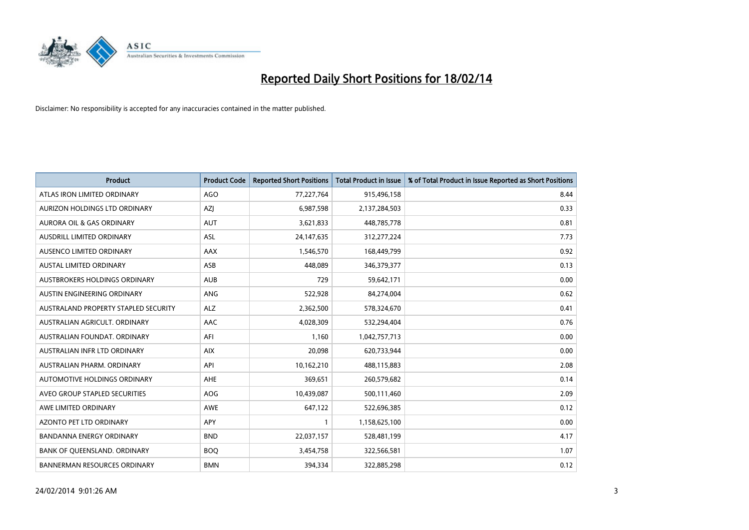

| <b>Product</b>                       | <b>Product Code</b> | <b>Reported Short Positions</b> | <b>Total Product in Issue</b> | % of Total Product in Issue Reported as Short Positions |
|--------------------------------------|---------------------|---------------------------------|-------------------------------|---------------------------------------------------------|
| ATLAS IRON LIMITED ORDINARY          | AGO                 | 77,227,764                      | 915,496,158                   | 8.44                                                    |
| AURIZON HOLDINGS LTD ORDINARY        | AZJ                 | 6,987,598                       | 2,137,284,503                 | 0.33                                                    |
| <b>AURORA OIL &amp; GAS ORDINARY</b> | <b>AUT</b>          | 3,621,833                       | 448,785,778                   | 0.81                                                    |
| AUSDRILL LIMITED ORDINARY            | ASL                 | 24,147,635                      | 312,277,224                   | 7.73                                                    |
| AUSENCO LIMITED ORDINARY             | AAX                 | 1,546,570                       | 168,449,799                   | 0.92                                                    |
| <b>AUSTAL LIMITED ORDINARY</b>       | ASB                 | 448,089                         | 346,379,377                   | 0.13                                                    |
| AUSTBROKERS HOLDINGS ORDINARY        | <b>AUB</b>          | 729                             | 59,642,171                    | 0.00                                                    |
| AUSTIN ENGINEERING ORDINARY          | ANG                 | 522,928                         | 84,274,004                    | 0.62                                                    |
| AUSTRALAND PROPERTY STAPLED SECURITY | <b>ALZ</b>          | 2,362,500                       | 578,324,670                   | 0.41                                                    |
| AUSTRALIAN AGRICULT, ORDINARY        | <b>AAC</b>          | 4,028,309                       | 532,294,404                   | 0.76                                                    |
| AUSTRALIAN FOUNDAT. ORDINARY         | AFI                 | 1,160                           | 1,042,757,713                 | 0.00                                                    |
| AUSTRALIAN INFR LTD ORDINARY         | <b>AIX</b>          | 20,098                          | 620,733,944                   | 0.00                                                    |
| AUSTRALIAN PHARM, ORDINARY           | API                 | 10,162,210                      | 488,115,883                   | 2.08                                                    |
| AUTOMOTIVE HOLDINGS ORDINARY         | AHE                 | 369,651                         | 260,579,682                   | 0.14                                                    |
| AVEO GROUP STAPLED SECURITIES        | AOG                 | 10,439,087                      | 500,111,460                   | 2.09                                                    |
| AWE LIMITED ORDINARY                 | AWE                 | 647,122                         | 522,696,385                   | 0.12                                                    |
| <b>AZONTO PET LTD ORDINARY</b>       | APY                 | 1                               | 1,158,625,100                 | 0.00                                                    |
| BANDANNA ENERGY ORDINARY             | <b>BND</b>          | 22,037,157                      | 528,481,199                   | 4.17                                                    |
| BANK OF OUEENSLAND, ORDINARY         | <b>BOQ</b>          | 3,454,758                       | 322,566,581                   | 1.07                                                    |
| <b>BANNERMAN RESOURCES ORDINARY</b>  | <b>BMN</b>          | 394,334                         | 322,885,298                   | 0.12                                                    |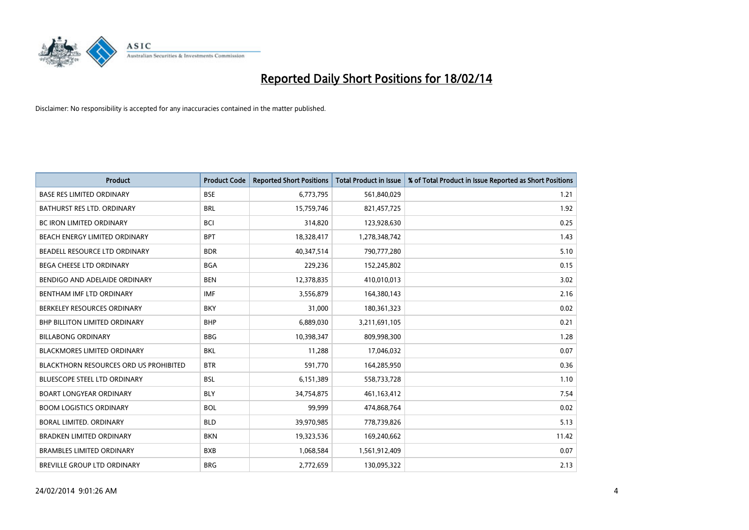

| <b>Product</b>                         | <b>Product Code</b> | <b>Reported Short Positions</b> | <b>Total Product in Issue</b> | % of Total Product in Issue Reported as Short Positions |
|----------------------------------------|---------------------|---------------------------------|-------------------------------|---------------------------------------------------------|
| <b>BASE RES LIMITED ORDINARY</b>       | <b>BSE</b>          | 6,773,795                       | 561,840,029                   | 1.21                                                    |
| BATHURST RES LTD. ORDINARY             | <b>BRL</b>          | 15,759,746                      | 821,457,725                   | 1.92                                                    |
| <b>BC IRON LIMITED ORDINARY</b>        | <b>BCI</b>          | 314,820                         | 123,928,630                   | 0.25                                                    |
| BEACH ENERGY LIMITED ORDINARY          | <b>BPT</b>          | 18,328,417                      | 1,278,348,742                 | 1.43                                                    |
| BEADELL RESOURCE LTD ORDINARY          | <b>BDR</b>          | 40,347,514                      | 790,777,280                   | 5.10                                                    |
| <b>BEGA CHEESE LTD ORDINARY</b>        | <b>BGA</b>          | 229,236                         | 152,245,802                   | 0.15                                                    |
| BENDIGO AND ADELAIDE ORDINARY          | <b>BEN</b>          | 12,378,835                      | 410,010,013                   | 3.02                                                    |
| BENTHAM IMF LTD ORDINARY               | <b>IMF</b>          | 3,556,879                       | 164,380,143                   | 2.16                                                    |
| BERKELEY RESOURCES ORDINARY            | <b>BKY</b>          | 31,000                          | 180,361,323                   | 0.02                                                    |
| <b>BHP BILLITON LIMITED ORDINARY</b>   | <b>BHP</b>          | 6,889,030                       | 3,211,691,105                 | 0.21                                                    |
| <b>BILLABONG ORDINARY</b>              | <b>BBG</b>          | 10,398,347                      | 809,998,300                   | 1.28                                                    |
| <b>BLACKMORES LIMITED ORDINARY</b>     | BKL                 | 11,288                          | 17,046,032                    | 0.07                                                    |
| BLACKTHORN RESOURCES ORD US PROHIBITED | <b>BTR</b>          | 591,770                         | 164,285,950                   | 0.36                                                    |
| <b>BLUESCOPE STEEL LTD ORDINARY</b>    | <b>BSL</b>          | 6,151,389                       | 558,733,728                   | 1.10                                                    |
| <b>BOART LONGYEAR ORDINARY</b>         | <b>BLY</b>          | 34,754,875                      | 461,163,412                   | 7.54                                                    |
| <b>BOOM LOGISTICS ORDINARY</b>         | <b>BOL</b>          | 99,999                          | 474,868,764                   | 0.02                                                    |
| BORAL LIMITED. ORDINARY                | <b>BLD</b>          | 39,970,985                      | 778,739,826                   | 5.13                                                    |
| <b>BRADKEN LIMITED ORDINARY</b>        | <b>BKN</b>          | 19,323,536                      | 169,240,662                   | 11.42                                                   |
| <b>BRAMBLES LIMITED ORDINARY</b>       | <b>BXB</b>          | 1,068,584                       | 1,561,912,409                 | 0.07                                                    |
| BREVILLE GROUP LTD ORDINARY            | <b>BRG</b>          | 2,772,659                       | 130,095,322                   | 2.13                                                    |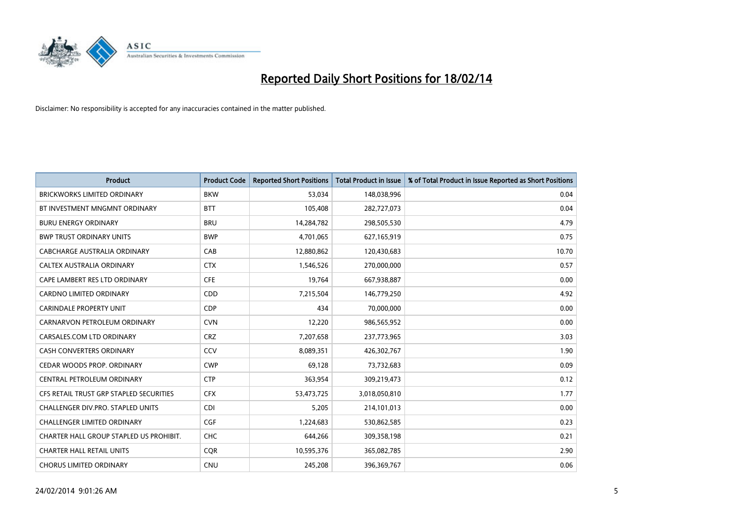

| <b>Product</b>                          | <b>Product Code</b> | <b>Reported Short Positions</b> | <b>Total Product in Issue</b> | % of Total Product in Issue Reported as Short Positions |
|-----------------------------------------|---------------------|---------------------------------|-------------------------------|---------------------------------------------------------|
| <b>BRICKWORKS LIMITED ORDINARY</b>      | <b>BKW</b>          | 53,034                          | 148,038,996                   | 0.04                                                    |
| BT INVESTMENT MNGMNT ORDINARY           | <b>BTT</b>          | 105,408                         | 282,727,073                   | 0.04                                                    |
| <b>BURU ENERGY ORDINARY</b>             | <b>BRU</b>          | 14,284,782                      | 298,505,530                   | 4.79                                                    |
| <b>BWP TRUST ORDINARY UNITS</b>         | <b>BWP</b>          | 4,701,065                       | 627,165,919                   | 0.75                                                    |
| CABCHARGE AUSTRALIA ORDINARY            | CAB                 | 12,880,862                      | 120,430,683                   | 10.70                                                   |
| CALTEX AUSTRALIA ORDINARY               | <b>CTX</b>          | 1,546,526                       | 270,000,000                   | 0.57                                                    |
| CAPE LAMBERT RES LTD ORDINARY           | <b>CFE</b>          | 19,764                          | 667,938,887                   | 0.00                                                    |
| CARDNO LIMITED ORDINARY                 | CDD                 | 7,215,504                       | 146,779,250                   | 4.92                                                    |
| <b>CARINDALE PROPERTY UNIT</b>          | <b>CDP</b>          | 434                             | 70,000,000                    | 0.00                                                    |
| CARNARVON PETROLEUM ORDINARY            | <b>CVN</b>          | 12,220                          | 986,565,952                   | 0.00                                                    |
| CARSALES.COM LTD ORDINARY               | <b>CRZ</b>          | 7,207,658                       | 237,773,965                   | 3.03                                                    |
| <b>CASH CONVERTERS ORDINARY</b>         | CCV                 | 8,089,351                       | 426,302,767                   | 1.90                                                    |
| CEDAR WOODS PROP. ORDINARY              | <b>CWP</b>          | 69,128                          | 73,732,683                    | 0.09                                                    |
| CENTRAL PETROLEUM ORDINARY              | <b>CTP</b>          | 363,954                         | 309,219,473                   | 0.12                                                    |
| CFS RETAIL TRUST GRP STAPLED SECURITIES | <b>CFX</b>          | 53,473,725                      | 3,018,050,810                 | 1.77                                                    |
| CHALLENGER DIV.PRO. STAPLED UNITS       | <b>CDI</b>          | 5,205                           | 214,101,013                   | 0.00                                                    |
| CHALLENGER LIMITED ORDINARY             | <b>CGF</b>          | 1,224,683                       | 530,862,585                   | 0.23                                                    |
| CHARTER HALL GROUP STAPLED US PROHIBIT. | <b>CHC</b>          | 644,266                         | 309,358,198                   | 0.21                                                    |
| <b>CHARTER HALL RETAIL UNITS</b>        | <b>COR</b>          | 10,595,376                      | 365,082,785                   | 2.90                                                    |
| <b>CHORUS LIMITED ORDINARY</b>          | <b>CNU</b>          | 245,208                         | 396,369,767                   | 0.06                                                    |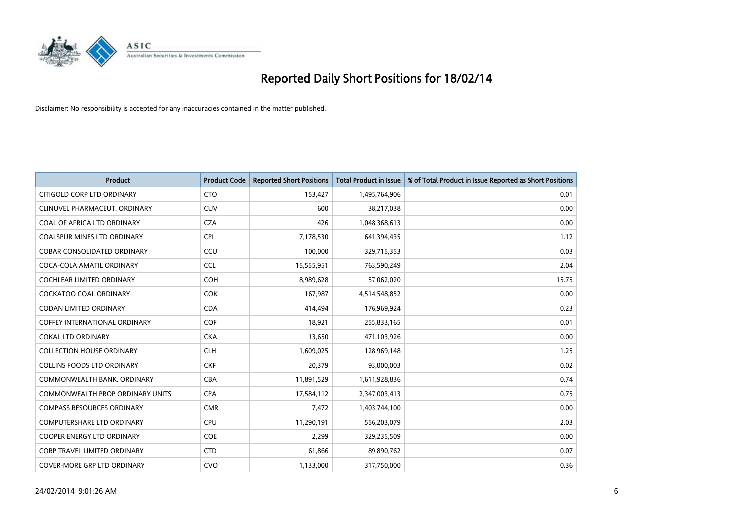

| <b>Product</b>                          | <b>Product Code</b> | <b>Reported Short Positions</b> | <b>Total Product in Issue</b> | % of Total Product in Issue Reported as Short Positions |
|-----------------------------------------|---------------------|---------------------------------|-------------------------------|---------------------------------------------------------|
| CITIGOLD CORP LTD ORDINARY              | <b>CTO</b>          | 153,427                         | 1,495,764,906                 | 0.01                                                    |
| CLINUVEL PHARMACEUT. ORDINARY           | <b>CUV</b>          | 600                             | 38,217,038                    | 0.00                                                    |
| COAL OF AFRICA LTD ORDINARY             | <b>CZA</b>          | 426                             | 1,048,368,613                 | 0.00                                                    |
| <b>COALSPUR MINES LTD ORDINARY</b>      | CPL                 | 7,178,530                       | 641,394,435                   | 1.12                                                    |
| <b>COBAR CONSOLIDATED ORDINARY</b>      | CCU                 | 100,000                         | 329,715,353                   | 0.03                                                    |
| COCA-COLA AMATIL ORDINARY               | <b>CCL</b>          | 15,555,951                      | 763,590,249                   | 2.04                                                    |
| <b>COCHLEAR LIMITED ORDINARY</b>        | <b>COH</b>          | 8,989,628                       | 57,062,020                    | 15.75                                                   |
| <b>COCKATOO COAL ORDINARY</b>           | <b>COK</b>          | 167,987                         | 4,514,548,852                 | 0.00                                                    |
| <b>CODAN LIMITED ORDINARY</b>           | <b>CDA</b>          | 414,494                         | 176,969,924                   | 0.23                                                    |
| <b>COFFEY INTERNATIONAL ORDINARY</b>    | COF                 | 18,921                          | 255,833,165                   | 0.01                                                    |
| <b>COKAL LTD ORDINARY</b>               | <b>CKA</b>          | 13,650                          | 471,103,926                   | 0.00                                                    |
| <b>COLLECTION HOUSE ORDINARY</b>        | <b>CLH</b>          | 1,609,025                       | 128,969,148                   | 1.25                                                    |
| COLLINS FOODS LTD ORDINARY              | <b>CKF</b>          | 20,379                          | 93,000,003                    | 0.02                                                    |
| COMMONWEALTH BANK, ORDINARY             | <b>CBA</b>          | 11,891,529                      | 1,611,928,836                 | 0.74                                                    |
| <b>COMMONWEALTH PROP ORDINARY UNITS</b> | <b>CPA</b>          | 17,584,112                      | 2,347,003,413                 | 0.75                                                    |
| <b>COMPASS RESOURCES ORDINARY</b>       | <b>CMR</b>          | 7,472                           | 1,403,744,100                 | 0.00                                                    |
| <b>COMPUTERSHARE LTD ORDINARY</b>       | <b>CPU</b>          | 11,290,191                      | 556,203,079                   | 2.03                                                    |
| <b>COOPER ENERGY LTD ORDINARY</b>       | <b>COE</b>          | 2,299                           | 329,235,509                   | 0.00                                                    |
| <b>CORP TRAVEL LIMITED ORDINARY</b>     | <b>CTD</b>          | 61,866                          | 89,890,762                    | 0.07                                                    |
| <b>COVER-MORE GRP LTD ORDINARY</b>      | <b>CVO</b>          | 1,133,000                       | 317,750,000                   | 0.36                                                    |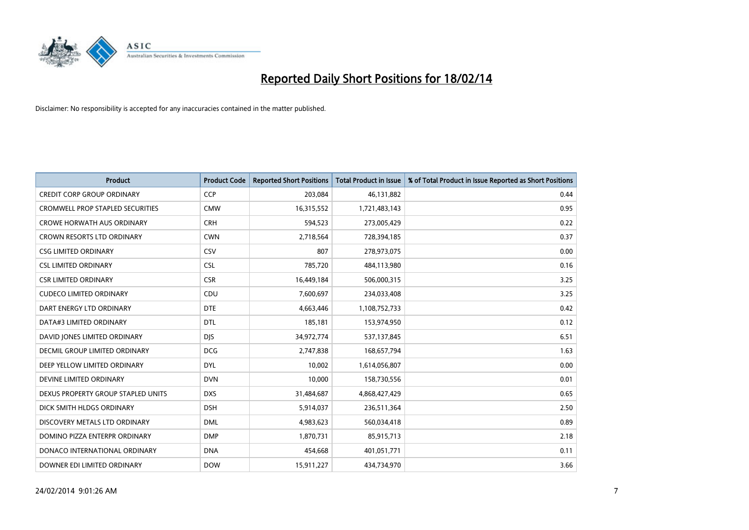

| <b>Product</b>                       | <b>Product Code</b> | <b>Reported Short Positions</b> | <b>Total Product in Issue</b> | % of Total Product in Issue Reported as Short Positions |
|--------------------------------------|---------------------|---------------------------------|-------------------------------|---------------------------------------------------------|
| <b>CREDIT CORP GROUP ORDINARY</b>    | CCP                 | 203,084                         | 46,131,882                    | 0.44                                                    |
| CROMWELL PROP STAPLED SECURITIES     | <b>CMW</b>          | 16,315,552                      | 1,721,483,143                 | 0.95                                                    |
| <b>CROWE HORWATH AUS ORDINARY</b>    | <b>CRH</b>          | 594,523                         | 273,005,429                   | 0.22                                                    |
| CROWN RESORTS LTD ORDINARY           | <b>CWN</b>          | 2,718,564                       | 728,394,185                   | 0.37                                                    |
| <b>CSG LIMITED ORDINARY</b>          | <b>CSV</b>          | 807                             | 278,973,075                   | 0.00                                                    |
| <b>CSL LIMITED ORDINARY</b>          | <b>CSL</b>          | 785,720                         | 484,113,980                   | 0.16                                                    |
| <b>CSR LIMITED ORDINARY</b>          | <b>CSR</b>          | 16,449,184                      | 506,000,315                   | 3.25                                                    |
| <b>CUDECO LIMITED ORDINARY</b>       | CDU                 | 7,600,697                       | 234,033,408                   | 3.25                                                    |
| DART ENERGY LTD ORDINARY             | <b>DTE</b>          | 4,663,446                       | 1,108,752,733                 | 0.42                                                    |
| DATA#3 LIMITED ORDINARY              | <b>DTL</b>          | 185,181                         | 153,974,950                   | 0.12                                                    |
| DAVID JONES LIMITED ORDINARY         | <b>DJS</b>          | 34,972,774                      | 537,137,845                   | 6.51                                                    |
| <b>DECMIL GROUP LIMITED ORDINARY</b> | <b>DCG</b>          | 2,747,838                       | 168,657,794                   | 1.63                                                    |
| DEEP YELLOW LIMITED ORDINARY         | <b>DYL</b>          | 10,002                          | 1,614,056,807                 | 0.00                                                    |
| DEVINE LIMITED ORDINARY              | <b>DVN</b>          | 10,000                          | 158,730,556                   | 0.01                                                    |
| DEXUS PROPERTY GROUP STAPLED UNITS   | <b>DXS</b>          | 31,484,687                      | 4,868,427,429                 | 0.65                                                    |
| DICK SMITH HLDGS ORDINARY            | <b>DSH</b>          | 5,914,037                       | 236,511,364                   | 2.50                                                    |
| DISCOVERY METALS LTD ORDINARY        | <b>DML</b>          | 4,983,623                       | 560,034,418                   | 0.89                                                    |
| DOMINO PIZZA ENTERPR ORDINARY        | <b>DMP</b>          | 1,870,731                       | 85,915,713                    | 2.18                                                    |
| DONACO INTERNATIONAL ORDINARY        | <b>DNA</b>          | 454,668                         | 401,051,771                   | 0.11                                                    |
| DOWNER EDI LIMITED ORDINARY          | <b>DOW</b>          | 15,911,227                      | 434,734,970                   | 3.66                                                    |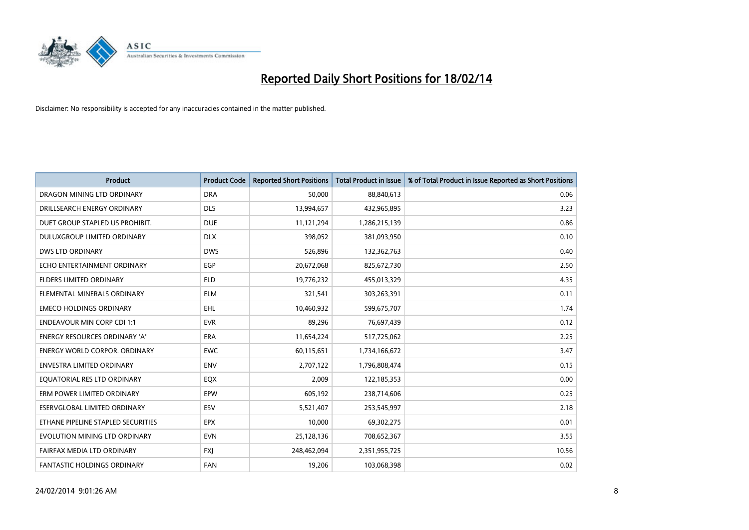

| <b>Product</b>                       | <b>Product Code</b> | <b>Reported Short Positions</b> | <b>Total Product in Issue</b> | % of Total Product in Issue Reported as Short Positions |
|--------------------------------------|---------------------|---------------------------------|-------------------------------|---------------------------------------------------------|
| DRAGON MINING LTD ORDINARY           | <b>DRA</b>          | 50,000                          | 88,840,613                    | 0.06                                                    |
| DRILLSEARCH ENERGY ORDINARY          | <b>DLS</b>          | 13,994,657                      | 432,965,895                   | 3.23                                                    |
| DUET GROUP STAPLED US PROHIBIT.      | <b>DUE</b>          | 11,121,294                      | 1,286,215,139                 | 0.86                                                    |
| DULUXGROUP LIMITED ORDINARY          | <b>DLX</b>          | 398,052                         | 381,093,950                   | 0.10                                                    |
| <b>DWS LTD ORDINARY</b>              | <b>DWS</b>          | 526,896                         | 132,362,763                   | 0.40                                                    |
| ECHO ENTERTAINMENT ORDINARY          | EGP                 | 20,672,068                      | 825,672,730                   | 2.50                                                    |
| <b>ELDERS LIMITED ORDINARY</b>       | <b>ELD</b>          | 19,776,232                      | 455,013,329                   | 4.35                                                    |
| ELEMENTAL MINERALS ORDINARY          | <b>ELM</b>          | 321,541                         | 303,263,391                   | 0.11                                                    |
| <b>EMECO HOLDINGS ORDINARY</b>       | <b>EHL</b>          | 10,460,932                      | 599,675,707                   | 1.74                                                    |
| <b>ENDEAVOUR MIN CORP CDI 1:1</b>    | <b>EVR</b>          | 89,296                          | 76,697,439                    | 0.12                                                    |
| ENERGY RESOURCES ORDINARY 'A'        | <b>ERA</b>          | 11,654,224                      | 517,725,062                   | 2.25                                                    |
| <b>ENERGY WORLD CORPOR, ORDINARY</b> | <b>EWC</b>          | 60,115,651                      | 1,734,166,672                 | 3.47                                                    |
| <b>ENVESTRA LIMITED ORDINARY</b>     | <b>ENV</b>          | 2,707,122                       | 1,796,808,474                 | 0.15                                                    |
| EQUATORIAL RES LTD ORDINARY          | EQX                 | 2,009                           | 122,185,353                   | 0.00                                                    |
| ERM POWER LIMITED ORDINARY           | EPW                 | 605,192                         | 238,714,606                   | 0.25                                                    |
| ESERVGLOBAL LIMITED ORDINARY         | ESV                 | 5,521,407                       | 253,545,997                   | 2.18                                                    |
| ETHANE PIPELINE STAPLED SECURITIES   | <b>EPX</b>          | 10,000                          | 69,302,275                    | 0.01                                                    |
| EVOLUTION MINING LTD ORDINARY        | <b>EVN</b>          | 25,128,136                      | 708,652,367                   | 3.55                                                    |
| FAIRFAX MEDIA LTD ORDINARY           | <b>FXI</b>          | 248,462,094                     | 2,351,955,725                 | 10.56                                                   |
| FANTASTIC HOLDINGS ORDINARY          | <b>FAN</b>          | 19,206                          | 103,068,398                   | 0.02                                                    |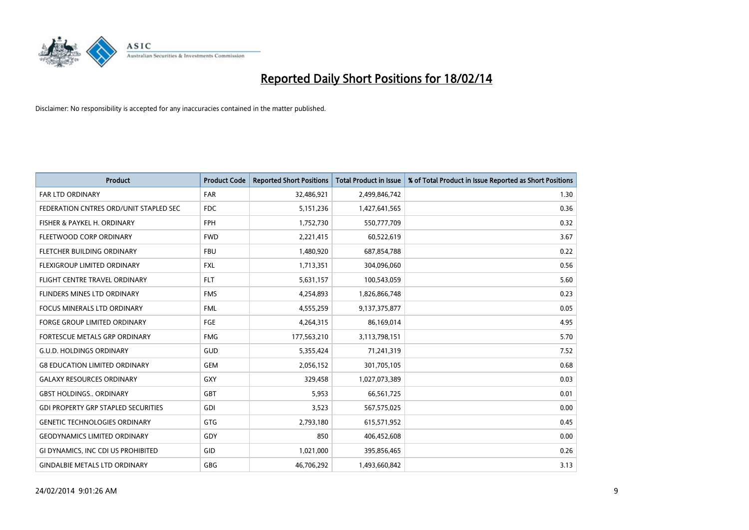

| <b>Product</b>                             | <b>Product Code</b> | <b>Reported Short Positions</b> | <b>Total Product in Issue</b> | % of Total Product in Issue Reported as Short Positions |
|--------------------------------------------|---------------------|---------------------------------|-------------------------------|---------------------------------------------------------|
| <b>FAR LTD ORDINARY</b>                    | <b>FAR</b>          | 32,486,921                      | 2,499,846,742                 | 1.30                                                    |
| FEDERATION CNTRES ORD/UNIT STAPLED SEC     | FDC                 | 5,151,236                       | 1,427,641,565                 | 0.36                                                    |
| FISHER & PAYKEL H. ORDINARY                | <b>FPH</b>          | 1,752,730                       | 550,777,709                   | 0.32                                                    |
| FLEETWOOD CORP ORDINARY                    | <b>FWD</b>          | 2,221,415                       | 60,522,619                    | 3.67                                                    |
| FLETCHER BUILDING ORDINARY                 | <b>FBU</b>          | 1,480,920                       | 687,854,788                   | 0.22                                                    |
| FLEXIGROUP LIMITED ORDINARY                | <b>FXL</b>          | 1,713,351                       | 304,096,060                   | 0.56                                                    |
| FLIGHT CENTRE TRAVEL ORDINARY              | <b>FLT</b>          | 5,631,157                       | 100,543,059                   | 5.60                                                    |
| FLINDERS MINES LTD ORDINARY                | <b>FMS</b>          | 4,254,893                       | 1,826,866,748                 | 0.23                                                    |
| <b>FOCUS MINERALS LTD ORDINARY</b>         | <b>FML</b>          | 4,555,259                       | 9,137,375,877                 | 0.05                                                    |
| <b>FORGE GROUP LIMITED ORDINARY</b>        | FGE                 | 4,264,315                       | 86,169,014                    | 4.95                                                    |
| FORTESCUE METALS GRP ORDINARY              | <b>FMG</b>          | 177,563,210                     | 3,113,798,151                 | 5.70                                                    |
| <b>G.U.D. HOLDINGS ORDINARY</b>            | GUD                 | 5,355,424                       | 71,241,319                    | 7.52                                                    |
| <b>G8 EDUCATION LIMITED ORDINARY</b>       | <b>GEM</b>          | 2,056,152                       | 301,705,105                   | 0.68                                                    |
| <b>GALAXY RESOURCES ORDINARY</b>           | GXY                 | 329,458                         | 1,027,073,389                 | 0.03                                                    |
| <b>GBST HOLDINGS., ORDINARY</b>            | <b>GBT</b>          | 5,953                           | 66,561,725                    | 0.01                                                    |
| <b>GDI PROPERTY GRP STAPLED SECURITIES</b> | GDI                 | 3,523                           | 567,575,025                   | 0.00                                                    |
| <b>GENETIC TECHNOLOGIES ORDINARY</b>       | GTG                 | 2,793,180                       | 615,571,952                   | 0.45                                                    |
| <b>GEODYNAMICS LIMITED ORDINARY</b>        | GDY                 | 850                             | 406,452,608                   | 0.00                                                    |
| GI DYNAMICS, INC CDI US PROHIBITED         | GID                 | 1,021,000                       | 395,856,465                   | 0.26                                                    |
| <b>GINDALBIE METALS LTD ORDINARY</b>       | GBG                 | 46,706,292                      | 1,493,660,842                 | 3.13                                                    |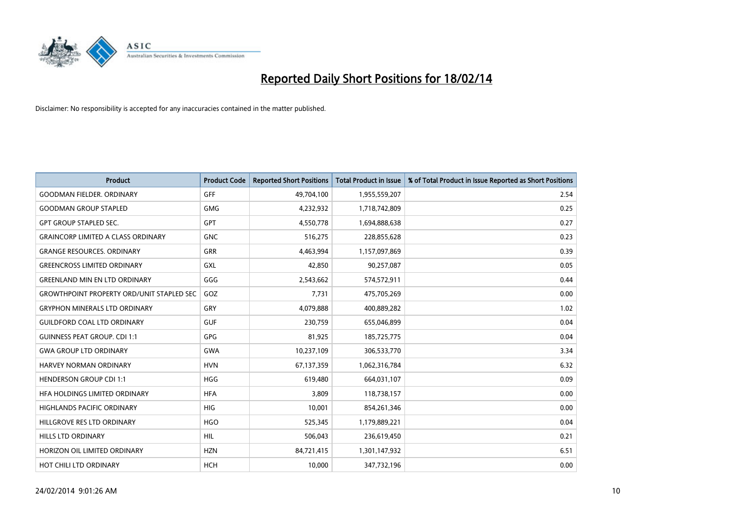

| <b>Product</b>                                   | <b>Product Code</b> | <b>Reported Short Positions</b> | <b>Total Product in Issue</b> | % of Total Product in Issue Reported as Short Positions |
|--------------------------------------------------|---------------------|---------------------------------|-------------------------------|---------------------------------------------------------|
| <b>GOODMAN FIELDER, ORDINARY</b>                 | GFF                 | 49,704,100                      | 1,955,559,207                 | 2.54                                                    |
| <b>GOODMAN GROUP STAPLED</b>                     | <b>GMG</b>          | 4,232,932                       | 1,718,742,809                 | 0.25                                                    |
| <b>GPT GROUP STAPLED SEC.</b>                    | <b>GPT</b>          | 4,550,778                       | 1,694,888,638                 | 0.27                                                    |
| <b>GRAINCORP LIMITED A CLASS ORDINARY</b>        | <b>GNC</b>          | 516,275                         | 228,855,628                   | 0.23                                                    |
| <b>GRANGE RESOURCES, ORDINARY</b>                | <b>GRR</b>          | 4,463,994                       | 1,157,097,869                 | 0.39                                                    |
| <b>GREENCROSS LIMITED ORDINARY</b>               | GXL                 | 42,850                          | 90,257,087                    | 0.05                                                    |
| <b>GREENLAND MIN EN LTD ORDINARY</b>             | GGG                 | 2,543,662                       | 574,572,911                   | 0.44                                                    |
| <b>GROWTHPOINT PROPERTY ORD/UNIT STAPLED SEC</b> | GOZ                 | 7,731                           | 475,705,269                   | 0.00                                                    |
| <b>GRYPHON MINERALS LTD ORDINARY</b>             | GRY                 | 4,079,888                       | 400,889,282                   | 1.02                                                    |
| <b>GUILDFORD COAL LTD ORDINARY</b>               | <b>GUF</b>          | 230,759                         | 655,046,899                   | 0.04                                                    |
| <b>GUINNESS PEAT GROUP. CDI 1:1</b>              | <b>GPG</b>          | 81,925                          | 185,725,775                   | 0.04                                                    |
| <b>GWA GROUP LTD ORDINARY</b>                    | <b>GWA</b>          | 10,237,109                      | 306,533,770                   | 3.34                                                    |
| <b>HARVEY NORMAN ORDINARY</b>                    | <b>HVN</b>          | 67,137,359                      | 1,062,316,784                 | 6.32                                                    |
| <b>HENDERSON GROUP CDI 1:1</b>                   | <b>HGG</b>          | 619,480                         | 664,031,107                   | 0.09                                                    |
| HFA HOLDINGS LIMITED ORDINARY                    | <b>HFA</b>          | 3,809                           | 118,738,157                   | 0.00                                                    |
| HIGHLANDS PACIFIC ORDINARY                       | <b>HIG</b>          | 10,001                          | 854,261,346                   | 0.00                                                    |
| HILLGROVE RES LTD ORDINARY                       | <b>HGO</b>          | 525,345                         | 1,179,889,221                 | 0.04                                                    |
| <b>HILLS LTD ORDINARY</b>                        | <b>HIL</b>          | 506,043                         | 236,619,450                   | 0.21                                                    |
| HORIZON OIL LIMITED ORDINARY                     | <b>HZN</b>          | 84,721,415                      | 1,301,147,932                 | 6.51                                                    |
| HOT CHILI LTD ORDINARY                           | <b>HCH</b>          | 10,000                          | 347,732,196                   | 0.00                                                    |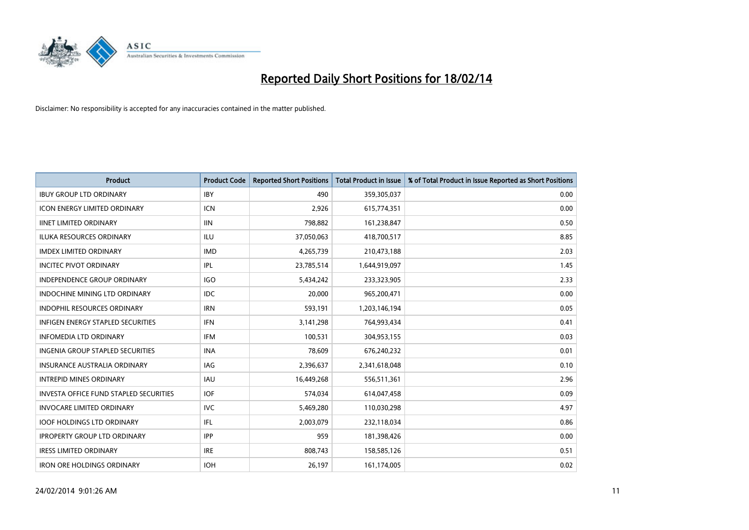

| <b>Product</b>                                | <b>Product Code</b> | <b>Reported Short Positions</b> | <b>Total Product in Issue</b> | % of Total Product in Issue Reported as Short Positions |
|-----------------------------------------------|---------------------|---------------------------------|-------------------------------|---------------------------------------------------------|
| <b>IBUY GROUP LTD ORDINARY</b>                | <b>IBY</b>          | 490                             | 359,305,037                   | 0.00                                                    |
| <b>ICON ENERGY LIMITED ORDINARY</b>           | <b>ICN</b>          | 2,926                           | 615,774,351                   | 0.00                                                    |
| <b>IINET LIMITED ORDINARY</b>                 | <b>IIN</b>          | 798,882                         | 161,238,847                   | 0.50                                                    |
| ILUKA RESOURCES ORDINARY                      | ILU                 | 37,050,063                      | 418,700,517                   | 8.85                                                    |
| <b>IMDEX LIMITED ORDINARY</b>                 | <b>IMD</b>          | 4,265,739                       | 210,473,188                   | 2.03                                                    |
| <b>INCITEC PIVOT ORDINARY</b>                 | IPL                 | 23,785,514                      | 1,644,919,097                 | 1.45                                                    |
| INDEPENDENCE GROUP ORDINARY                   | <b>IGO</b>          | 5,434,242                       | 233,323,905                   | 2.33                                                    |
| INDOCHINE MINING LTD ORDINARY                 | <b>IDC</b>          | 20,000                          | 965,200,471                   | 0.00                                                    |
| <b>INDOPHIL RESOURCES ORDINARY</b>            | <b>IRN</b>          | 593,191                         | 1,203,146,194                 | 0.05                                                    |
| <b>INFIGEN ENERGY STAPLED SECURITIES</b>      | <b>IFN</b>          | 3,141,298                       | 764,993,434                   | 0.41                                                    |
| <b>INFOMEDIA LTD ORDINARY</b>                 | <b>IFM</b>          | 100,531                         | 304,953,155                   | 0.03                                                    |
| <b>INGENIA GROUP STAPLED SECURITIES</b>       | <b>INA</b>          | 78,609                          | 676,240,232                   | 0.01                                                    |
| <b>INSURANCE AUSTRALIA ORDINARY</b>           | IAG                 | 2,396,637                       | 2,341,618,048                 | 0.10                                                    |
| <b>INTREPID MINES ORDINARY</b>                | <b>IAU</b>          | 16,449,268                      | 556,511,361                   | 2.96                                                    |
| <b>INVESTA OFFICE FUND STAPLED SECURITIES</b> | <b>IOF</b>          | 574,034                         | 614,047,458                   | 0.09                                                    |
| <b>INVOCARE LIMITED ORDINARY</b>              | <b>IVC</b>          | 5,469,280                       | 110,030,298                   | 4.97                                                    |
| <b>IOOF HOLDINGS LTD ORDINARY</b>             | IFL                 | 2,003,079                       | 232,118,034                   | 0.86                                                    |
| <b>IPROPERTY GROUP LTD ORDINARY</b>           | <b>IPP</b>          | 959                             | 181,398,426                   | 0.00                                                    |
| <b>IRESS LIMITED ORDINARY</b>                 | <b>IRE</b>          | 808,743                         | 158,585,126                   | 0.51                                                    |
| <b>IRON ORE HOLDINGS ORDINARY</b>             | <b>IOH</b>          | 26,197                          | 161,174,005                   | 0.02                                                    |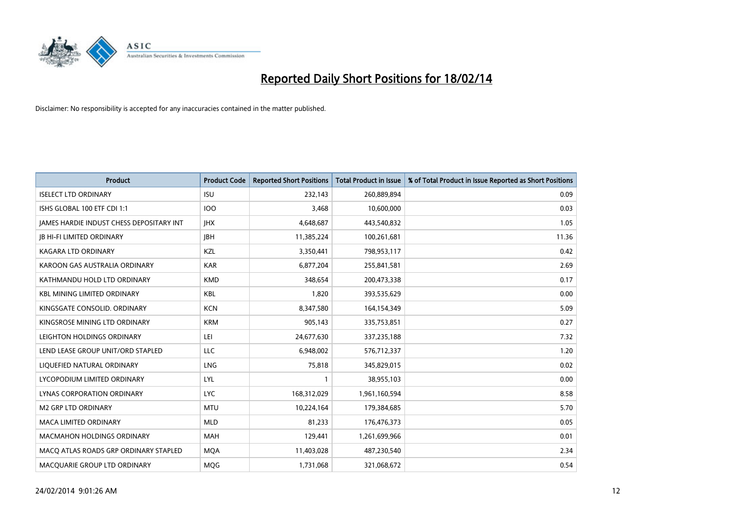

| <b>Product</b>                                  | <b>Product Code</b> | <b>Reported Short Positions</b> | <b>Total Product in Issue</b> | % of Total Product in Issue Reported as Short Positions |
|-------------------------------------------------|---------------------|---------------------------------|-------------------------------|---------------------------------------------------------|
| <b>ISELECT LTD ORDINARY</b>                     | <b>ISU</b>          | 232,143                         | 260,889,894                   | 0.09                                                    |
| ISHS GLOBAL 100 ETF CDI 1:1                     | <b>IOO</b>          | 3,468                           | 10,600,000                    | 0.03                                                    |
| <b>JAMES HARDIE INDUST CHESS DEPOSITARY INT</b> | <b>IHX</b>          | 4,648,687                       | 443,540,832                   | 1.05                                                    |
| <b>JB HI-FI LIMITED ORDINARY</b>                | <b>IBH</b>          | 11,385,224                      | 100,261,681                   | 11.36                                                   |
| <b>KAGARA LTD ORDINARY</b>                      | KZL                 | 3,350,441                       | 798,953,117                   | 0.42                                                    |
| KAROON GAS AUSTRALIA ORDINARY                   | <b>KAR</b>          | 6,877,204                       | 255,841,581                   | 2.69                                                    |
| KATHMANDU HOLD LTD ORDINARY                     | <b>KMD</b>          | 348,654                         | 200,473,338                   | 0.17                                                    |
| KBL MINING LIMITED ORDINARY                     | <b>KBL</b>          | 1,820                           | 393,535,629                   | 0.00                                                    |
| KINGSGATE CONSOLID, ORDINARY                    | <b>KCN</b>          | 8,347,580                       | 164,154,349                   | 5.09                                                    |
| KINGSROSE MINING LTD ORDINARY                   | <b>KRM</b>          | 905,143                         | 335,753,851                   | 0.27                                                    |
| LEIGHTON HOLDINGS ORDINARY                      | LEI                 | 24,677,630                      | 337,235,188                   | 7.32                                                    |
| LEND LEASE GROUP UNIT/ORD STAPLED               | LLC                 | 6,948,002                       | 576,712,337                   | 1.20                                                    |
| LIQUEFIED NATURAL ORDINARY                      | LNG                 | 75,818                          | 345,829,015                   | 0.02                                                    |
| LYCOPODIUM LIMITED ORDINARY                     | LYL                 | 1                               | 38,955,103                    | 0.00                                                    |
| <b>LYNAS CORPORATION ORDINARY</b>               | <b>LYC</b>          | 168,312,029                     | 1,961,160,594                 | 8.58                                                    |
| <b>M2 GRP LTD ORDINARY</b>                      | <b>MTU</b>          | 10,224,164                      | 179,384,685                   | 5.70                                                    |
| MACA LIMITED ORDINARY                           | <b>MLD</b>          | 81,233                          | 176,476,373                   | 0.05                                                    |
| <b>MACMAHON HOLDINGS ORDINARY</b>               | <b>MAH</b>          | 129,441                         | 1,261,699,966                 | 0.01                                                    |
| MACO ATLAS ROADS GRP ORDINARY STAPLED           | <b>MOA</b>          | 11,403,028                      | 487,230,540                   | 2.34                                                    |
| MACQUARIE GROUP LTD ORDINARY                    | <b>MOG</b>          | 1,731,068                       | 321,068,672                   | 0.54                                                    |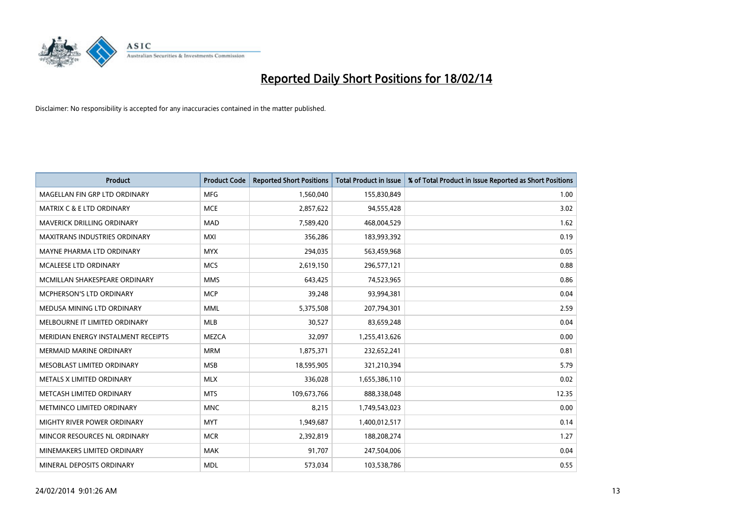

| <b>Product</b>                       | <b>Product Code</b> | <b>Reported Short Positions</b> | <b>Total Product in Issue</b> | % of Total Product in Issue Reported as Short Positions |
|--------------------------------------|---------------------|---------------------------------|-------------------------------|---------------------------------------------------------|
| MAGELLAN FIN GRP LTD ORDINARY        | <b>MFG</b>          | 1,560,040                       | 155,830,849                   | 1.00                                                    |
| <b>MATRIX C &amp; E LTD ORDINARY</b> | <b>MCE</b>          | 2,857,622                       | 94,555,428                    | 3.02                                                    |
| <b>MAVERICK DRILLING ORDINARY</b>    | <b>MAD</b>          | 7,589,420                       | 468,004,529                   | 1.62                                                    |
| <b>MAXITRANS INDUSTRIES ORDINARY</b> | <b>MXI</b>          | 356,286                         | 183,993,392                   | 0.19                                                    |
| MAYNE PHARMA LTD ORDINARY            | <b>MYX</b>          | 294,035                         | 563,459,968                   | 0.05                                                    |
| <b>MCALEESE LTD ORDINARY</b>         | <b>MCS</b>          | 2,619,150                       | 296,577,121                   | 0.88                                                    |
| MCMILLAN SHAKESPEARE ORDINARY        | <b>MMS</b>          | 643,425                         | 74,523,965                    | 0.86                                                    |
| <b>MCPHERSON'S LTD ORDINARY</b>      | <b>MCP</b>          | 39,248                          | 93,994,381                    | 0.04                                                    |
| MEDUSA MINING LTD ORDINARY           | <b>MML</b>          | 5,375,508                       | 207,794,301                   | 2.59                                                    |
| MELBOURNE IT LIMITED ORDINARY        | <b>MLB</b>          | 30,527                          | 83,659,248                    | 0.04                                                    |
| MERIDIAN ENERGY INSTALMENT RECEIPTS  | <b>MEZCA</b>        | 32,097                          | 1,255,413,626                 | 0.00                                                    |
| <b>MERMAID MARINE ORDINARY</b>       | <b>MRM</b>          | 1,875,371                       | 232,652,241                   | 0.81                                                    |
| MESOBLAST LIMITED ORDINARY           | <b>MSB</b>          | 18,595,905                      | 321,210,394                   | 5.79                                                    |
| METALS X LIMITED ORDINARY            | <b>MLX</b>          | 336,028                         | 1,655,386,110                 | 0.02                                                    |
| METCASH LIMITED ORDINARY             | <b>MTS</b>          | 109,673,766                     | 888,338,048                   | 12.35                                                   |
| METMINCO LIMITED ORDINARY            | <b>MNC</b>          | 8,215                           | 1,749,543,023                 | 0.00                                                    |
| MIGHTY RIVER POWER ORDINARY          | <b>MYT</b>          | 1,949,687                       | 1,400,012,517                 | 0.14                                                    |
| MINCOR RESOURCES NL ORDINARY         | <b>MCR</b>          | 2,392,819                       | 188,208,274                   | 1.27                                                    |
| MINEMAKERS LIMITED ORDINARY          | <b>MAK</b>          | 91,707                          | 247,504,006                   | 0.04                                                    |
| MINERAL DEPOSITS ORDINARY            | <b>MDL</b>          | 573,034                         | 103,538,786                   | 0.55                                                    |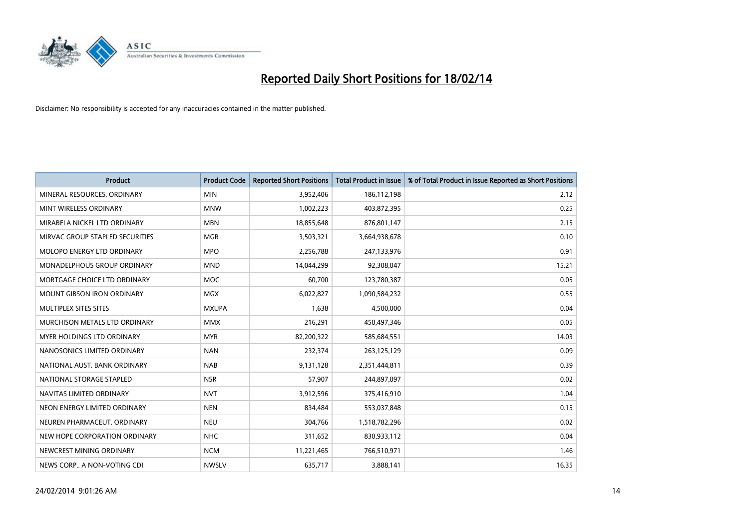

| <b>Product</b>                  | <b>Product Code</b> | <b>Reported Short Positions</b> | <b>Total Product in Issue</b> | % of Total Product in Issue Reported as Short Positions |
|---------------------------------|---------------------|---------------------------------|-------------------------------|---------------------------------------------------------|
| MINERAL RESOURCES, ORDINARY     | <b>MIN</b>          | 3,952,406                       | 186,112,198                   | 2.12                                                    |
| MINT WIRELESS ORDINARY          | <b>MNW</b>          | 1,002,223                       | 403,872,395                   | 0.25                                                    |
| MIRABELA NICKEL LTD ORDINARY    | <b>MBN</b>          | 18,855,648                      | 876,801,147                   | 2.15                                                    |
| MIRVAC GROUP STAPLED SECURITIES | <b>MGR</b>          | 3,503,321                       | 3,664,938,678                 | 0.10                                                    |
| MOLOPO ENERGY LTD ORDINARY      | <b>MPO</b>          | 2,256,788                       | 247,133,976                   | 0.91                                                    |
| MONADELPHOUS GROUP ORDINARY     | <b>MND</b>          | 14,044,299                      | 92,308,047                    | 15.21                                                   |
| MORTGAGE CHOICE LTD ORDINARY    | MOC                 | 60,700                          | 123,780,387                   | 0.05                                                    |
| MOUNT GIBSON IRON ORDINARY      | <b>MGX</b>          | 6,022,827                       | 1,090,584,232                 | 0.55                                                    |
| MULTIPLEX SITES SITES           | <b>MXUPA</b>        | 1,638                           | 4,500,000                     | 0.04                                                    |
| MURCHISON METALS LTD ORDINARY   | <b>MMX</b>          | 216,291                         | 450,497,346                   | 0.05                                                    |
| MYER HOLDINGS LTD ORDINARY      | <b>MYR</b>          | 82,200,322                      | 585,684,551                   | 14.03                                                   |
| NANOSONICS LIMITED ORDINARY     | <b>NAN</b>          | 232,374                         | 263,125,129                   | 0.09                                                    |
| NATIONAL AUST, BANK ORDINARY    | <b>NAB</b>          | 9,131,128                       | 2,351,444,811                 | 0.39                                                    |
| NATIONAL STORAGE STAPLED        | <b>NSR</b>          | 57,907                          | 244,897,097                   | 0.02                                                    |
| NAVITAS LIMITED ORDINARY        | <b>NVT</b>          | 3,912,596                       | 375,416,910                   | 1.04                                                    |
| NEON ENERGY LIMITED ORDINARY    | <b>NEN</b>          | 834,484                         | 553,037,848                   | 0.15                                                    |
| NEUREN PHARMACEUT. ORDINARY     | <b>NEU</b>          | 304,766                         | 1,518,782,296                 | 0.02                                                    |
| NEW HOPE CORPORATION ORDINARY   | <b>NHC</b>          | 311,652                         | 830,933,112                   | 0.04                                                    |
| NEWCREST MINING ORDINARY        | <b>NCM</b>          | 11,221,465                      | 766,510,971                   | 1.46                                                    |
| NEWS CORP A NON-VOTING CDI      | <b>NWSLV</b>        | 635,717                         | 3,888,141                     | 16.35                                                   |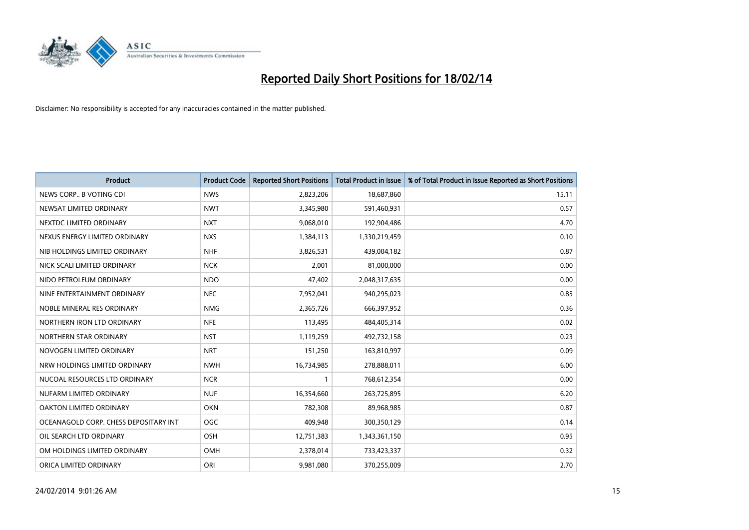

| <b>Product</b>                        | <b>Product Code</b> | <b>Reported Short Positions</b> | <b>Total Product in Issue</b> | % of Total Product in Issue Reported as Short Positions |
|---------------------------------------|---------------------|---------------------------------|-------------------------------|---------------------------------------------------------|
| NEWS CORP B VOTING CDI                | <b>NWS</b>          | 2,823,206                       | 18,687,860                    | 15.11                                                   |
| NEWSAT LIMITED ORDINARY               | <b>NWT</b>          | 3,345,980                       | 591,460,931                   | 0.57                                                    |
| NEXTDC LIMITED ORDINARY               | <b>NXT</b>          | 9,068,010                       | 192,904,486                   | 4.70                                                    |
| NEXUS ENERGY LIMITED ORDINARY         | <b>NXS</b>          | 1,384,113                       | 1,330,219,459                 | 0.10                                                    |
| NIB HOLDINGS LIMITED ORDINARY         | <b>NHF</b>          | 3,826,531                       | 439,004,182                   | 0.87                                                    |
| NICK SCALI LIMITED ORDINARY           | <b>NCK</b>          | 2,001                           | 81,000,000                    | 0.00                                                    |
| NIDO PETROLEUM ORDINARY               | <b>NDO</b>          | 47,402                          | 2,048,317,635                 | 0.00                                                    |
| NINE ENTERTAINMENT ORDINARY           | <b>NEC</b>          | 7,952,041                       | 940,295,023                   | 0.85                                                    |
| NOBLE MINERAL RES ORDINARY            | <b>NMG</b>          | 2,365,726                       | 666,397,952                   | 0.36                                                    |
| NORTHERN IRON LTD ORDINARY            | <b>NFE</b>          | 113,495                         | 484,405,314                   | 0.02                                                    |
| NORTHERN STAR ORDINARY                | <b>NST</b>          | 1,119,259                       | 492,732,158                   | 0.23                                                    |
| NOVOGEN LIMITED ORDINARY              | <b>NRT</b>          | 151,250                         | 163,810,997                   | 0.09                                                    |
| NRW HOLDINGS LIMITED ORDINARY         | <b>NWH</b>          | 16,734,985                      | 278,888,011                   | 6.00                                                    |
| NUCOAL RESOURCES LTD ORDINARY         | <b>NCR</b>          | $\mathbf{1}$                    | 768,612,354                   | 0.00                                                    |
| NUFARM LIMITED ORDINARY               | <b>NUF</b>          | 16,354,660                      | 263,725,895                   | 6.20                                                    |
| OAKTON LIMITED ORDINARY               | <b>OKN</b>          | 782,308                         | 89,968,985                    | 0.87                                                    |
| OCEANAGOLD CORP. CHESS DEPOSITARY INT | <b>OGC</b>          | 409,948                         | 300,350,129                   | 0.14                                                    |
| OIL SEARCH LTD ORDINARY               | OSH                 | 12,751,383                      | 1,343,361,150                 | 0.95                                                    |
| OM HOLDINGS LIMITED ORDINARY          | <b>OMH</b>          | 2,378,014                       | 733,423,337                   | 0.32                                                    |
| ORICA LIMITED ORDINARY                | ORI                 | 9,981,080                       | 370,255,009                   | 2.70                                                    |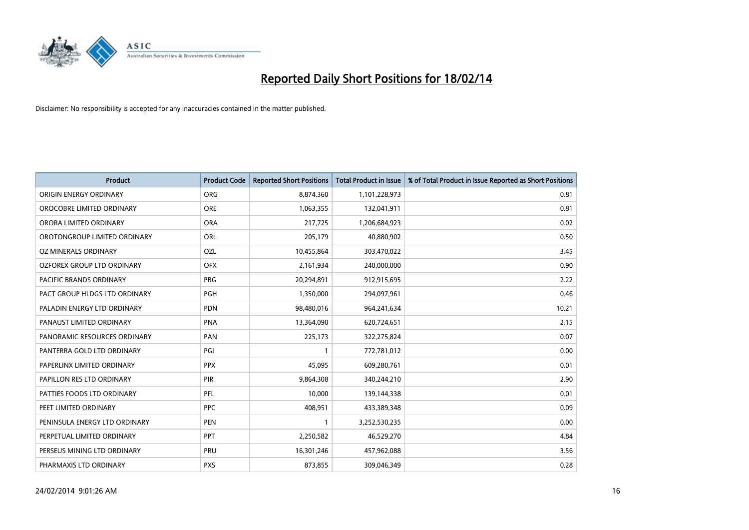

| <b>Product</b>                    | <b>Product Code</b> | <b>Reported Short Positions</b> | <b>Total Product in Issue</b> | % of Total Product in Issue Reported as Short Positions |
|-----------------------------------|---------------------|---------------------------------|-------------------------------|---------------------------------------------------------|
| ORIGIN ENERGY ORDINARY            | <b>ORG</b>          | 8,874,360                       | 1,101,228,973                 | 0.81                                                    |
| OROCOBRE LIMITED ORDINARY         | <b>ORE</b>          | 1,063,355                       | 132,041,911                   | 0.81                                                    |
| ORORA LIMITED ORDINARY            | <b>ORA</b>          | 217,725                         | 1,206,684,923                 | 0.02                                                    |
| OROTONGROUP LIMITED ORDINARY      | ORL                 | 205,179                         | 40,880,902                    | 0.50                                                    |
| OZ MINERALS ORDINARY              | <b>OZL</b>          | 10,455,864                      | 303,470,022                   | 3.45                                                    |
| <b>OZFOREX GROUP LTD ORDINARY</b> | <b>OFX</b>          | 2,161,934                       | 240,000,000                   | 0.90                                                    |
| PACIFIC BRANDS ORDINARY           | <b>PBG</b>          | 20,294,891                      | 912,915,695                   | 2.22                                                    |
| PACT GROUP HLDGS LTD ORDINARY     | PGH                 | 1,350,000                       | 294,097,961                   | 0.46                                                    |
| PALADIN ENERGY LTD ORDINARY       | <b>PDN</b>          | 98,480,016                      | 964,241,634                   | 10.21                                                   |
| PANAUST LIMITED ORDINARY          | <b>PNA</b>          | 13,364,090                      | 620,724,651                   | 2.15                                                    |
| PANORAMIC RESOURCES ORDINARY      | <b>PAN</b>          | 225,173                         | 322,275,824                   | 0.07                                                    |
| PANTERRA GOLD LTD ORDINARY        | PGI                 | $\mathbf{1}$                    | 772,781,012                   | 0.00                                                    |
| PAPERLINX LIMITED ORDINARY        | <b>PPX</b>          | 45,095                          | 609,280,761                   | 0.01                                                    |
| PAPILLON RES LTD ORDINARY         | PIR                 | 9,864,308                       | 340,244,210                   | 2.90                                                    |
| PATTIES FOODS LTD ORDINARY        | <b>PFL</b>          | 10,000                          | 139,144,338                   | 0.01                                                    |
| PEET LIMITED ORDINARY             | <b>PPC</b>          | 408,951                         | 433,389,348                   | 0.09                                                    |
| PENINSULA ENERGY LTD ORDINARY     | <b>PEN</b>          | $\mathbf{1}$                    | 3,252,530,235                 | 0.00                                                    |
| PERPETUAL LIMITED ORDINARY        | PPT                 | 2,250,582                       | 46,529,270                    | 4.84                                                    |
| PERSEUS MINING LTD ORDINARY       | <b>PRU</b>          | 16,301,246                      | 457,962,088                   | 3.56                                                    |
| PHARMAXIS LTD ORDINARY            | <b>PXS</b>          | 873,855                         | 309,046,349                   | 0.28                                                    |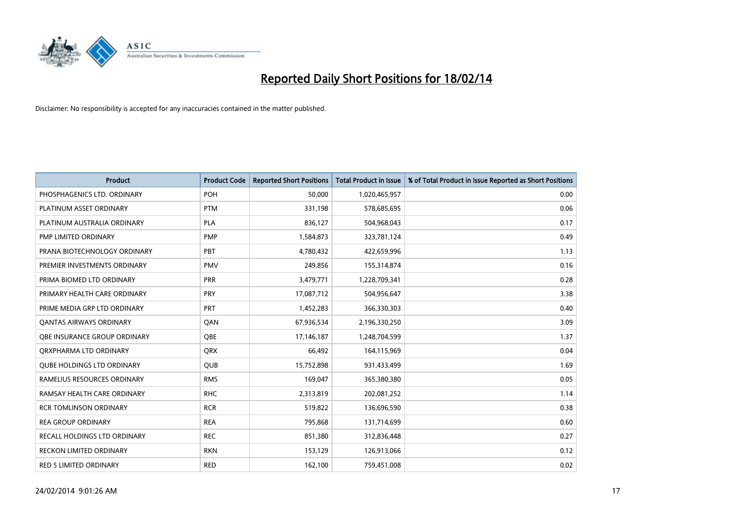

| <b>Product</b>                      | <b>Product Code</b> | <b>Reported Short Positions</b> | <b>Total Product in Issue</b> | % of Total Product in Issue Reported as Short Positions |
|-------------------------------------|---------------------|---------------------------------|-------------------------------|---------------------------------------------------------|
| PHOSPHAGENICS LTD. ORDINARY         | POH                 | 50,000                          | 1,020,465,957                 | 0.00                                                    |
| PLATINUM ASSET ORDINARY             | <b>PTM</b>          | 331,198                         | 578,685,695                   | 0.06                                                    |
| PLATINUM AUSTRALIA ORDINARY         | <b>PLA</b>          | 836,127                         | 504,968,043                   | 0.17                                                    |
| PMP LIMITED ORDINARY                | <b>PMP</b>          | 1,584,873                       | 323,781,124                   | 0.49                                                    |
| PRANA BIOTECHNOLOGY ORDINARY        | PBT                 | 4,780,432                       | 422,659,996                   | 1.13                                                    |
| PREMIER INVESTMENTS ORDINARY        | <b>PMV</b>          | 249,856                         | 155,314,874                   | 0.16                                                    |
| PRIMA BIOMED LTD ORDINARY           | <b>PRR</b>          | 3,479,771                       | 1,228,709,341                 | 0.28                                                    |
| PRIMARY HEALTH CARE ORDINARY        | <b>PRY</b>          | 17,087,712                      | 504,956,647                   | 3.38                                                    |
| PRIME MEDIA GRP LTD ORDINARY        | <b>PRT</b>          | 1,452,283                       | 366,330,303                   | 0.40                                                    |
| <b>QANTAS AIRWAYS ORDINARY</b>      | QAN                 | 67,936,534                      | 2,196,330,250                 | 3.09                                                    |
| <b>OBE INSURANCE GROUP ORDINARY</b> | <b>OBE</b>          | 17,146,187                      | 1,248,704,599                 | 1.37                                                    |
| ORXPHARMA LTD ORDINARY              | QRX                 | 66,492                          | 164,115,969                   | 0.04                                                    |
| <b>QUBE HOLDINGS LTD ORDINARY</b>   | <b>QUB</b>          | 15,752,898                      | 931,433,499                   | 1.69                                                    |
| RAMELIUS RESOURCES ORDINARY         | <b>RMS</b>          | 169,047                         | 365,380,380                   | 0.05                                                    |
| RAMSAY HEALTH CARE ORDINARY         | <b>RHC</b>          | 2,313,819                       | 202,081,252                   | 1.14                                                    |
| <b>RCR TOMLINSON ORDINARY</b>       | <b>RCR</b>          | 519,822                         | 136,696,590                   | 0.38                                                    |
| <b>REA GROUP ORDINARY</b>           | <b>REA</b>          | 795,868                         | 131,714,699                   | 0.60                                                    |
| RECALL HOLDINGS LTD ORDINARY        | <b>REC</b>          | 851,380                         | 312,836,448                   | 0.27                                                    |
| <b>RECKON LIMITED ORDINARY</b>      | <b>RKN</b>          | 153,129                         | 126,913,066                   | 0.12                                                    |
| <b>RED 5 LIMITED ORDINARY</b>       | <b>RED</b>          | 162,100                         | 759,451,008                   | 0.02                                                    |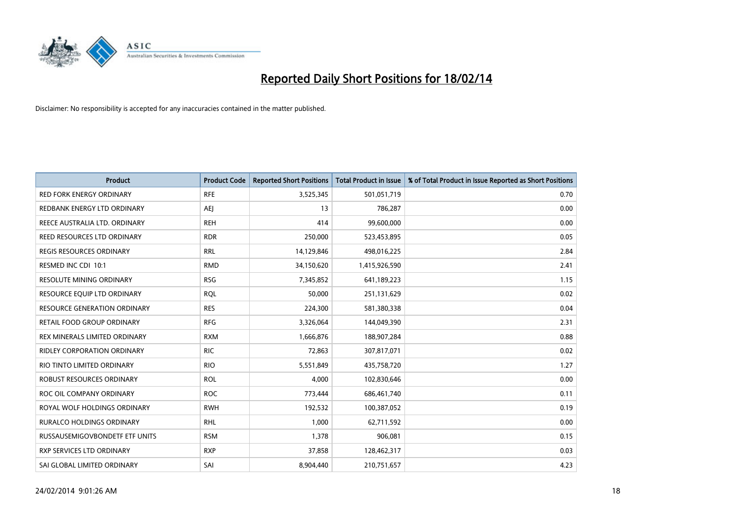

| Product                             | <b>Product Code</b> | <b>Reported Short Positions</b> | <b>Total Product in Issue</b> | % of Total Product in Issue Reported as Short Positions |
|-------------------------------------|---------------------|---------------------------------|-------------------------------|---------------------------------------------------------|
| <b>RED FORK ENERGY ORDINARY</b>     | <b>RFE</b>          | 3,525,345                       | 501,051,719                   | 0.70                                                    |
| REDBANK ENERGY LTD ORDINARY         | AEJ                 | 13                              | 786,287                       | 0.00                                                    |
| REECE AUSTRALIA LTD. ORDINARY       | <b>REH</b>          | 414                             | 99,600,000                    | 0.00                                                    |
| REED RESOURCES LTD ORDINARY         | <b>RDR</b>          | 250,000                         | 523,453,895                   | 0.05                                                    |
| <b>REGIS RESOURCES ORDINARY</b>     | <b>RRL</b>          | 14,129,846                      | 498,016,225                   | 2.84                                                    |
| RESMED INC CDI 10:1                 | <b>RMD</b>          | 34,150,620                      | 1,415,926,590                 | 2.41                                                    |
| <b>RESOLUTE MINING ORDINARY</b>     | <b>RSG</b>          | 7,345,852                       | 641,189,223                   | 1.15                                                    |
| RESOURCE EQUIP LTD ORDINARY         | <b>RQL</b>          | 50,000                          | 251,131,629                   | 0.02                                                    |
| <b>RESOURCE GENERATION ORDINARY</b> | <b>RES</b>          | 224,300                         | 581,380,338                   | 0.04                                                    |
| RETAIL FOOD GROUP ORDINARY          | <b>RFG</b>          | 3,326,064                       | 144,049,390                   | 2.31                                                    |
| REX MINERALS LIMITED ORDINARY       | <b>RXM</b>          | 1,666,876                       | 188,907,284                   | 0.88                                                    |
| <b>RIDLEY CORPORATION ORDINARY</b>  | <b>RIC</b>          | 72,863                          | 307,817,071                   | 0.02                                                    |
| RIO TINTO LIMITED ORDINARY          | <b>RIO</b>          | 5,551,849                       | 435,758,720                   | 1.27                                                    |
| ROBUST RESOURCES ORDINARY           | <b>ROL</b>          | 4,000                           | 102,830,646                   | 0.00                                                    |
| ROC OIL COMPANY ORDINARY            | <b>ROC</b>          | 773,444                         | 686,461,740                   | 0.11                                                    |
| ROYAL WOLF HOLDINGS ORDINARY        | <b>RWH</b>          | 192,532                         | 100,387,052                   | 0.19                                                    |
| RURALCO HOLDINGS ORDINARY           | <b>RHL</b>          | 1,000                           | 62,711,592                    | 0.00                                                    |
| RUSSAUSEMIGOVBONDETF ETF UNITS      | <b>RSM</b>          | 1,378                           | 906,081                       | 0.15                                                    |
| <b>RXP SERVICES LTD ORDINARY</b>    | <b>RXP</b>          | 37,858                          | 128,462,317                   | 0.03                                                    |
| SAI GLOBAL LIMITED ORDINARY         | SAI                 | 8,904,440                       | 210,751,657                   | 4.23                                                    |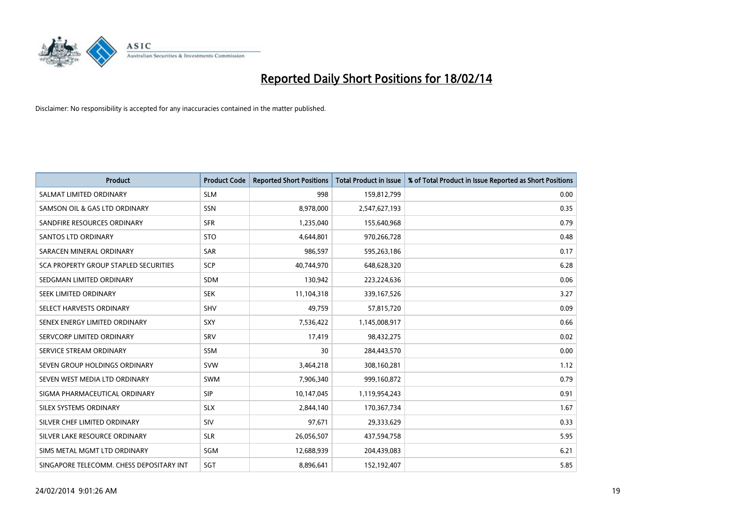

| <b>Product</b>                           | <b>Product Code</b> | <b>Reported Short Positions</b> | <b>Total Product in Issue</b> | % of Total Product in Issue Reported as Short Positions |
|------------------------------------------|---------------------|---------------------------------|-------------------------------|---------------------------------------------------------|
| SALMAT LIMITED ORDINARY                  | <b>SLM</b>          | 998                             | 159,812,799                   | 0.00                                                    |
| SAMSON OIL & GAS LTD ORDINARY            | <b>SSN</b>          | 8,978,000                       | 2,547,627,193                 | 0.35                                                    |
| SANDFIRE RESOURCES ORDINARY              | <b>SFR</b>          | 1,235,040                       | 155,640,968                   | 0.79                                                    |
| <b>SANTOS LTD ORDINARY</b>               | <b>STO</b>          | 4,644,801                       | 970,266,728                   | 0.48                                                    |
| SARACEN MINERAL ORDINARY                 | <b>SAR</b>          | 986,597                         | 595,263,186                   | 0.17                                                    |
| SCA PROPERTY GROUP STAPLED SECURITIES    | SCP                 | 40,744,970                      | 648,628,320                   | 6.28                                                    |
| SEDGMAN LIMITED ORDINARY                 | SDM                 | 130,942                         | 223,224,636                   | 0.06                                                    |
| SEEK LIMITED ORDINARY                    | <b>SEK</b>          | 11,104,318                      | 339,167,526                   | 3.27                                                    |
| SELECT HARVESTS ORDINARY                 | SHV                 | 49,759                          | 57,815,720                    | 0.09                                                    |
| SENEX ENERGY LIMITED ORDINARY            | SXY                 | 7,536,422                       | 1,145,008,917                 | 0.66                                                    |
| SERVCORP LIMITED ORDINARY                | SRV                 | 17,419                          | 98,432,275                    | 0.02                                                    |
| SERVICE STREAM ORDINARY                  | SSM                 | 30                              | 284,443,570                   | 0.00                                                    |
| SEVEN GROUP HOLDINGS ORDINARY            | <b>SVW</b>          | 3,464,218                       | 308,160,281                   | 1.12                                                    |
| SEVEN WEST MEDIA LTD ORDINARY            | <b>SWM</b>          | 7,906,340                       | 999,160,872                   | 0.79                                                    |
| SIGMA PHARMACEUTICAL ORDINARY            | <b>SIP</b>          | 10,147,045                      | 1,119,954,243                 | 0.91                                                    |
| SILEX SYSTEMS ORDINARY                   | <b>SLX</b>          | 2,844,140                       | 170,367,734                   | 1.67                                                    |
| SILVER CHEF LIMITED ORDINARY             | SIV                 | 97,671                          | 29,333,629                    | 0.33                                                    |
| SILVER LAKE RESOURCE ORDINARY            | <b>SLR</b>          | 26,056,507                      | 437,594,758                   | 5.95                                                    |
| SIMS METAL MGMT LTD ORDINARY             | SGM                 | 12,688,939                      | 204,439,083                   | 6.21                                                    |
| SINGAPORE TELECOMM. CHESS DEPOSITARY INT | SGT                 | 8,896,641                       | 152,192,407                   | 5.85                                                    |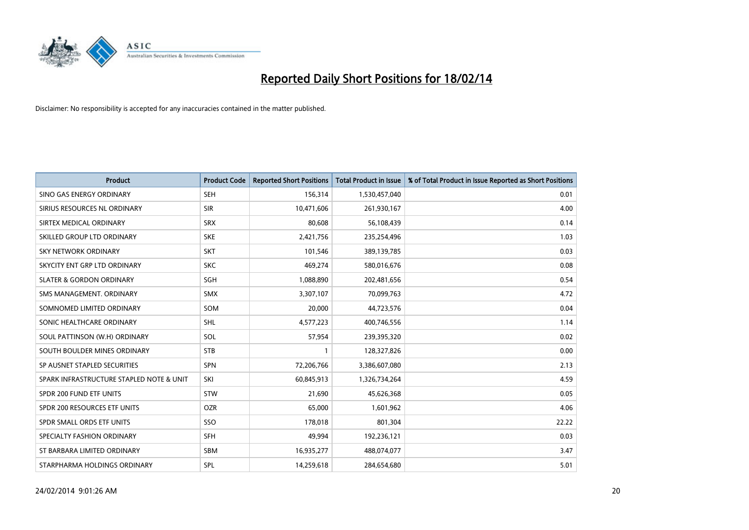

| <b>Product</b>                           | <b>Product Code</b> | <b>Reported Short Positions</b> | <b>Total Product in Issue</b> | % of Total Product in Issue Reported as Short Positions |
|------------------------------------------|---------------------|---------------------------------|-------------------------------|---------------------------------------------------------|
| SINO GAS ENERGY ORDINARY                 | <b>SEH</b>          | 156,314                         | 1,530,457,040                 | 0.01                                                    |
| SIRIUS RESOURCES NL ORDINARY             | <b>SIR</b>          | 10,471,606                      | 261,930,167                   | 4.00                                                    |
| SIRTEX MEDICAL ORDINARY                  | <b>SRX</b>          | 80,608                          | 56,108,439                    | 0.14                                                    |
| SKILLED GROUP LTD ORDINARY               | <b>SKE</b>          | 2,421,756                       | 235,254,496                   | 1.03                                                    |
| <b>SKY NETWORK ORDINARY</b>              | <b>SKT</b>          | 101,546                         | 389,139,785                   | 0.03                                                    |
| SKYCITY ENT GRP LTD ORDINARY             | <b>SKC</b>          | 469,274                         | 580,016,676                   | 0.08                                                    |
| <b>SLATER &amp; GORDON ORDINARY</b>      | SGH                 | 1,088,890                       | 202,481,656                   | 0.54                                                    |
| SMS MANAGEMENT, ORDINARY                 | <b>SMX</b>          | 3,307,107                       | 70,099,763                    | 4.72                                                    |
| SOMNOMED LIMITED ORDINARY                | SOM                 | 20,000                          | 44,723,576                    | 0.04                                                    |
| SONIC HEALTHCARE ORDINARY                | <b>SHL</b>          | 4,577,223                       | 400,746,556                   | 1.14                                                    |
| SOUL PATTINSON (W.H) ORDINARY            | SOL                 | 57,954                          | 239,395,320                   | 0.02                                                    |
| SOUTH BOULDER MINES ORDINARY             | <b>STB</b>          | 1                               | 128,327,826                   | 0.00                                                    |
| SP AUSNET STAPLED SECURITIES             | <b>SPN</b>          | 72,206,766                      | 3,386,607,080                 | 2.13                                                    |
| SPARK INFRASTRUCTURE STAPLED NOTE & UNIT | SKI                 | 60,845,913                      | 1,326,734,264                 | 4.59                                                    |
| SPDR 200 FUND ETF UNITS                  | <b>STW</b>          | 21,690                          | 45,626,368                    | 0.05                                                    |
| SPDR 200 RESOURCES ETF UNITS             | <b>OZR</b>          | 65,000                          | 1,601,962                     | 4.06                                                    |
| SPDR SMALL ORDS ETF UNITS                | SSO                 | 178,018                         | 801,304                       | 22.22                                                   |
| SPECIALTY FASHION ORDINARY               | <b>SFH</b>          | 49,994                          | 192,236,121                   | 0.03                                                    |
| ST BARBARA LIMITED ORDINARY              | <b>SBM</b>          | 16,935,277                      | 488,074,077                   | 3.47                                                    |
| STARPHARMA HOLDINGS ORDINARY             | SPL                 | 14.259.618                      | 284,654,680                   | 5.01                                                    |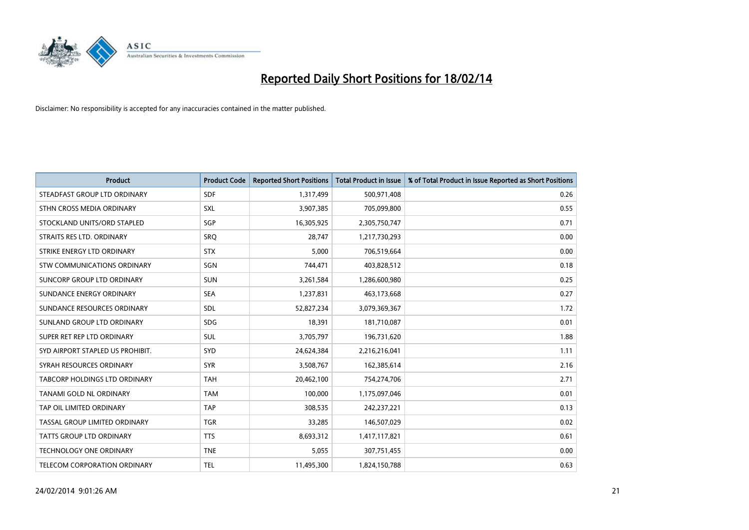

| <b>Product</b>                       | <b>Product Code</b> | <b>Reported Short Positions</b> | <b>Total Product in Issue</b> | % of Total Product in Issue Reported as Short Positions |
|--------------------------------------|---------------------|---------------------------------|-------------------------------|---------------------------------------------------------|
| STEADFAST GROUP LTD ORDINARY         | <b>SDF</b>          | 1,317,499                       | 500,971,408                   | 0.26                                                    |
| STHN CROSS MEDIA ORDINARY            | <b>SXL</b>          | 3,907,385                       | 705,099,800                   | 0.55                                                    |
| STOCKLAND UNITS/ORD STAPLED          | SGP                 | 16,305,925                      | 2,305,750,747                 | 0.71                                                    |
| STRAITS RES LTD. ORDINARY            | <b>SRQ</b>          | 28,747                          | 1,217,730,293                 | 0.00                                                    |
| STRIKE ENERGY LTD ORDINARY           | <b>STX</b>          | 5,000                           | 706,519,664                   | 0.00                                                    |
| STW COMMUNICATIONS ORDINARY          | SGN                 | 744,471                         | 403,828,512                   | 0.18                                                    |
| SUNCORP GROUP LTD ORDINARY           | <b>SUN</b>          | 3,261,584                       | 1,286,600,980                 | 0.25                                                    |
| SUNDANCE ENERGY ORDINARY             | <b>SEA</b>          | 1,237,831                       | 463,173,668                   | 0.27                                                    |
| SUNDANCE RESOURCES ORDINARY          | SDL                 | 52,827,234                      | 3,079,369,367                 | 1.72                                                    |
| SUNLAND GROUP LTD ORDINARY           | <b>SDG</b>          | 18,391                          | 181,710,087                   | 0.01                                                    |
| SUPER RET REP LTD ORDINARY           | SUL                 | 3,705,797                       | 196,731,620                   | 1.88                                                    |
| SYD AIRPORT STAPLED US PROHIBIT.     | <b>SYD</b>          | 24,624,384                      | 2,216,216,041                 | 1.11                                                    |
| SYRAH RESOURCES ORDINARY             | <b>SYR</b>          | 3,508,767                       | 162,385,614                   | 2.16                                                    |
| <b>TABCORP HOLDINGS LTD ORDINARY</b> | <b>TAH</b>          | 20,462,100                      | 754,274,706                   | 2.71                                                    |
| TANAMI GOLD NL ORDINARY              | <b>TAM</b>          | 100,000                         | 1,175,097,046                 | 0.01                                                    |
| TAP OIL LIMITED ORDINARY             | <b>TAP</b>          | 308,535                         | 242,237,221                   | 0.13                                                    |
| TASSAL GROUP LIMITED ORDINARY        | <b>TGR</b>          | 33,285                          | 146,507,029                   | 0.02                                                    |
| <b>TATTS GROUP LTD ORDINARY</b>      | <b>TTS</b>          | 8,693,312                       | 1,417,117,821                 | 0.61                                                    |
| <b>TECHNOLOGY ONE ORDINARY</b>       | <b>TNE</b>          | 5,055                           | 307,751,455                   | 0.00                                                    |
| TELECOM CORPORATION ORDINARY         | <b>TEL</b>          | 11,495,300                      | 1,824,150,788                 | 0.63                                                    |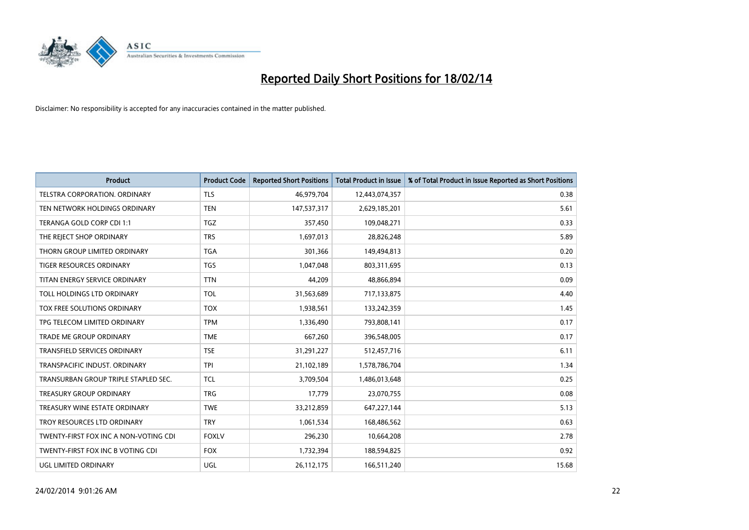

| <b>Product</b>                        | <b>Product Code</b> | <b>Reported Short Positions</b> | <b>Total Product in Issue</b> | % of Total Product in Issue Reported as Short Positions |
|---------------------------------------|---------------------|---------------------------------|-------------------------------|---------------------------------------------------------|
| <b>TELSTRA CORPORATION, ORDINARY</b>  | <b>TLS</b>          | 46,979,704                      | 12,443,074,357                | 0.38                                                    |
| TEN NETWORK HOLDINGS ORDINARY         | <b>TEN</b>          | 147,537,317                     | 2,629,185,201                 | 5.61                                                    |
| TERANGA GOLD CORP CDI 1:1             | <b>TGZ</b>          | 357,450                         | 109,048,271                   | 0.33                                                    |
| THE REJECT SHOP ORDINARY              | <b>TRS</b>          | 1,697,013                       | 28,826,248                    | 5.89                                                    |
| THORN GROUP LIMITED ORDINARY          | <b>TGA</b>          | 301,366                         | 149,494,813                   | 0.20                                                    |
| <b>TIGER RESOURCES ORDINARY</b>       | <b>TGS</b>          | 1,047,048                       | 803,311,695                   | 0.13                                                    |
| TITAN ENERGY SERVICE ORDINARY         | <b>TTN</b>          | 44,209                          | 48,866,894                    | 0.09                                                    |
| TOLL HOLDINGS LTD ORDINARY            | <b>TOL</b>          | 31,563,689                      | 717,133,875                   | 4.40                                                    |
| TOX FREE SOLUTIONS ORDINARY           | <b>TOX</b>          | 1,938,561                       | 133,242,359                   | 1.45                                                    |
| TPG TELECOM LIMITED ORDINARY          | <b>TPM</b>          | 1,336,490                       | 793,808,141                   | 0.17                                                    |
| TRADE ME GROUP ORDINARY               | <b>TME</b>          | 667,260                         | 396,548,005                   | 0.17                                                    |
| <b>TRANSFIELD SERVICES ORDINARY</b>   | <b>TSE</b>          | 31,291,227                      | 512,457,716                   | 6.11                                                    |
| TRANSPACIFIC INDUST. ORDINARY         | <b>TPI</b>          | 21,102,189                      | 1,578,786,704                 | 1.34                                                    |
| TRANSURBAN GROUP TRIPLE STAPLED SEC.  | TCL                 | 3,709,504                       | 1,486,013,648                 | 0.25                                                    |
| <b>TREASURY GROUP ORDINARY</b>        | <b>TRG</b>          | 17,779                          | 23,070,755                    | 0.08                                                    |
| TREASURY WINE ESTATE ORDINARY         | <b>TWE</b>          | 33,212,859                      | 647,227,144                   | 5.13                                                    |
| TROY RESOURCES LTD ORDINARY           | <b>TRY</b>          | 1,061,534                       | 168,486,562                   | 0.63                                                    |
| TWENTY-FIRST FOX INC A NON-VOTING CDI | <b>FOXLV</b>        | 296,230                         | 10,664,208                    | 2.78                                                    |
| TWENTY-FIRST FOX INC B VOTING CDI     | <b>FOX</b>          | 1,732,394                       | 188,594,825                   | 0.92                                                    |
| UGL LIMITED ORDINARY                  | UGL                 | 26,112,175                      | 166,511,240                   | 15.68                                                   |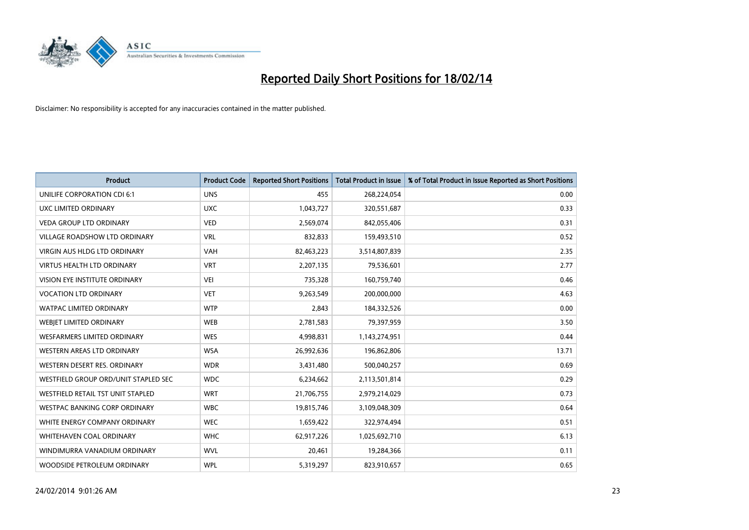

| <b>Product</b>                       | <b>Product Code</b> | <b>Reported Short Positions</b> | <b>Total Product in Issue</b> | % of Total Product in Issue Reported as Short Positions |
|--------------------------------------|---------------------|---------------------------------|-------------------------------|---------------------------------------------------------|
| UNILIFE CORPORATION CDI 6:1          | <b>UNS</b>          | 455                             | 268,224,054                   | 0.00                                                    |
| UXC LIMITED ORDINARY                 | <b>UXC</b>          | 1,043,727                       | 320,551,687                   | 0.33                                                    |
| <b>VEDA GROUP LTD ORDINARY</b>       | <b>VED</b>          | 2,569,074                       | 842,055,406                   | 0.31                                                    |
| VILLAGE ROADSHOW LTD ORDINARY        | <b>VRL</b>          | 832,833                         | 159,493,510                   | 0.52                                                    |
| <b>VIRGIN AUS HLDG LTD ORDINARY</b>  | <b>VAH</b>          | 82,463,223                      | 3,514,807,839                 | 2.35                                                    |
| <b>VIRTUS HEALTH LTD ORDINARY</b>    | <b>VRT</b>          | 2,207,135                       | 79,536,601                    | 2.77                                                    |
| <b>VISION EYE INSTITUTE ORDINARY</b> | <b>VEI</b>          | 735,328                         | 160,759,740                   | 0.46                                                    |
| <b>VOCATION LTD ORDINARY</b>         | <b>VET</b>          | 9,263,549                       | 200,000,000                   | 4.63                                                    |
| <b>WATPAC LIMITED ORDINARY</b>       | <b>WTP</b>          | 2,843                           | 184,332,526                   | 0.00                                                    |
| WEBIET LIMITED ORDINARY              | <b>WEB</b>          | 2,781,583                       | 79,397,959                    | 3.50                                                    |
| <b>WESFARMERS LIMITED ORDINARY</b>   | <b>WES</b>          | 4,998,831                       | 1,143,274,951                 | 0.44                                                    |
| <b>WESTERN AREAS LTD ORDINARY</b>    | <b>WSA</b>          | 26,992,636                      | 196,862,806                   | 13.71                                                   |
| WESTERN DESERT RES. ORDINARY         | <b>WDR</b>          | 3,431,480                       | 500,040,257                   | 0.69                                                    |
| WESTFIELD GROUP ORD/UNIT STAPLED SEC | <b>WDC</b>          | 6,234,662                       | 2,113,501,814                 | 0.29                                                    |
| WESTFIELD RETAIL TST UNIT STAPLED    | <b>WRT</b>          | 21,706,755                      | 2,979,214,029                 | 0.73                                                    |
| <b>WESTPAC BANKING CORP ORDINARY</b> | <b>WBC</b>          | 19,815,746                      | 3,109,048,309                 | 0.64                                                    |
| WHITE ENERGY COMPANY ORDINARY        | <b>WEC</b>          | 1,659,422                       | 322,974,494                   | 0.51                                                    |
| <b>WHITEHAVEN COAL ORDINARY</b>      | <b>WHC</b>          | 62,917,226                      | 1,025,692,710                 | 6.13                                                    |
| WINDIMURRA VANADIUM ORDINARY         | <b>WVL</b>          | 20,461                          | 19,284,366                    | 0.11                                                    |
| WOODSIDE PETROLEUM ORDINARY          | <b>WPL</b>          | 5,319,297                       | 823,910,657                   | 0.65                                                    |